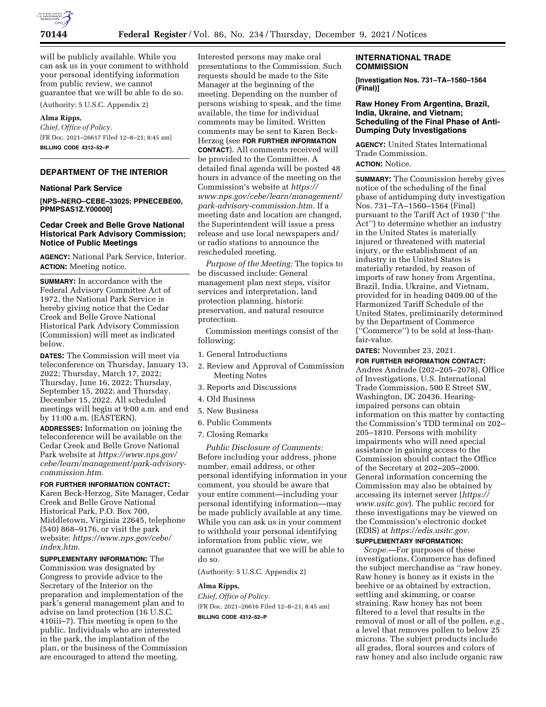

will be publicly available. While you can ask us in your comment to withhold your personal identifying information from public review, we cannot guarantee that we will be able to do so.

(Authority: 5 U.S.C. Appendix 2)

# **Alma Ripps,**

*Chief, Office of Policy.*  [FR Doc. 2021–26617 Filed 12–8–21; 8:45 am] **BILLING CODE 4312–52–P** 

# **DEPARTMENT OF THE INTERIOR**

#### **National Park Service**

**[NPS–NERO–CEBE–33025; PPNECEBE00, PPMPSAS1Z.Y00000]** 

## **Cedar Creek and Belle Grove National Historical Park Advisory Commission; Notice of Public Meetings**

**AGENCY:** National Park Service, Interior. **ACTION:** Meeting notice.

**SUMMARY:** In accordance with the Federal Advisory Committee Act of 1972, the National Park Service is hereby giving notice that the Cedar Creek and Belle Grove National Historical Park Advisory Commission (Commission) will meet as indicated below.

**DATES:** The Commission will meet via teleconference on Thursday, January 13, 2022; Thursday, March 17, 2022; Thursday, June 16, 2022; Thursday, September 15, 2022; and Thursday, December 15, 2022. All scheduled meetings will begin at 9:00 a.m. and end by 11:00 a.m. (EASTERN). **ADDRESSES:** Information on joining the

teleconference will be available on the Cedar Creek and Belle Grove National Park website at *https://www.nps.gov/ cebe/learn/management/park-advisorycommission.htm.* 

#### **FOR FURTHER INFORMATION CONTACT:**

Karen Beck-Herzog, Site Manager, Cedar Creek and Belle Grove National Historical Park, P.O. Box 700, Middletown, Virginia 22645, telephone (540) 868–9176, or visit the park website: *https://www.nps.gov/cebe/ index.htm.* 

**SUPPLEMENTARY INFORMATION:** The Commission was designated by Congress to provide advice to the Secretary of the Interior on the preparation and implementation of the park's general management plan and to advise on land protection (16 U.S.C. 410iii–7). This meeting is open to the public. Individuals who are interested in the park, the implantation of the plan, or the business of the Commission are encouraged to attend the meeting.

Interested persons may make oral presentations to the Commission. Such requests should be made to the Site Manager at the beginning of the meeting. Depending on the number of persons wishing to speak, and the time available, the time for individual comments may be limited. Written comments may be sent to Karen Beck-Herzog (see **FOR FURTHER INFORMATION CONTACT**). All comments received will be provided to the Committee. A detailed final agenda will be posted 48 hours in advance of the meeting on the Commission's website at *https:// www.nps.gov/cebe/learn/management/ park-advisory-commission.htm.* If a meeting date and location are changed, the Superintendent will issue a press release and use local newspapers and/ or radio stations to announce the rescheduled meeting.

*Purpose of the Meeting:* The topics to be discussed include: General management plan next steps, visitor services and interpretation, land protection planning, historic preservation, and natural resource protection.

Commission meetings consist of the following:

- 1. General Introductions
- 2. Review and Approval of Commission Meeting Notes
- 3. Reports and Discussions
- 4. Old Business
- 5. New Business
- 6. Public Comments
- 7. Closing Remarks

*Public Disclosure of Comments:*  Before including your address, phone number, email address, or other personal identifying information in your comment, you should be aware that your entire comment—including your personal identifying information—may be made publicly available at any time. While you can ask us in your comment to withhold your personal identifying information from public view, we cannot guarantee that we will be able to do so.

(Authority: 5 U.S.C. Appendix 2)

#### **Alma Ripps,**

*Chief, Office of Policy.*  [FR Doc. 2021–26616 Filed 12–8–21; 8:45 am] **BILLING CODE 4312–52–P** 

## **INTERNATIONAL TRADE COMMISSION**

**[Investigation Nos. 731–TA–1560–1564 (Final)]** 

## **Raw Honey From Argentina, Brazil, India, Ukraine, and Vietnam; Scheduling of the Final Phase of Anti-Dumping Duty Investigations**

**AGENCY:** United States International Trade Commission. **ACTION:** Notice.

**SUMMARY:** The Commission hereby gives notice of the scheduling of the final phase of antidumping duty investigation Nos. 731–TA–1560–1564 (Final) pursuant to the Tariff Act of 1930 (''the Act'') to determine whether an industry in the United States is materially injured or threatened with material injury, or the establishment of an industry in the United States is materially retarded, by reason of imports of raw honey from Argentina, Brazil, India, Ukraine, and Vietnam, provided for in heading 0409.00 of the Harmonized Tariff Schedule of the United States, preliminarily determined by the Department of Commerce (''Commerce'') to be sold at less-thanfair-value.

**DATES:** November 23, 2021.

**FOR FURTHER INFORMATION CONTACT:**  Andres Andrade (202–205–2078), Office of Investigations, U.S. International Trade Commission, 500 E Street SW, Washington, DC 20436. Hearingimpaired persons can obtain information on this matter by contacting the Commission's TDD terminal on 202– 205–1810. Persons with mobility impairments who will need special assistance in gaining access to the Commission should contact the Office of the Secretary at 202–205–2000. General information concerning the Commission may also be obtained by accessing its internet server (*https:// www.usitc.gov*). The public record for these investigations may be viewed on the Commission's electronic docket (EDIS) at *https://edis.usitc.gov.* 

# **SUPPLEMENTARY INFORMATION:**

*Scope.*—For purposes of these investigations, Commerce has defined the subject merchandise as ''raw honey. Raw honey is honey as it exists in the beehive or as obtained by extraction, settling and skimming, or coarse straining. Raw honey has not been filtered to a level that results in the removal of most or all of the pollen, *e.g.,*  a level that removes pollen to below 25 microns. The subject products include all grades, floral sources and colors of raw honey and also include organic raw